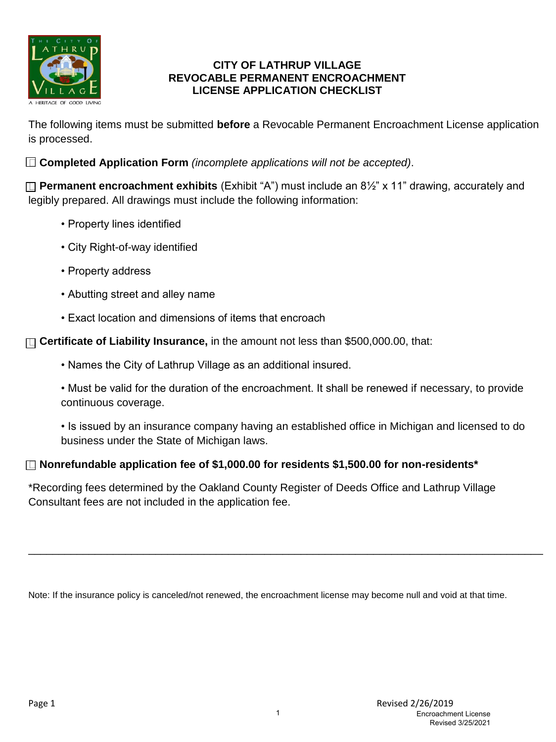

#### **CITY OF LATHRUP VILLAGE REVOCABLE PERMANENT ENCROACHMENT LICENSE APPLICATION CHECKLIST**

The following items must be submitted **before** a Revocable Permanent Encroachment License application is processed.

**Completed Application Form** *(incomplete applications will not be accepted)*.

**Permanent encroachment exhibits** (Exhibit "A") must include an 8½" x 11" drawing, accurately and legibly prepared. All drawings must include the following information:

- Property lines identified
- City Right-of-way identified
- Property address
- Abutting street and alley name
- Exact location and dimensions of items that encroach

**Certificate of Liability Insurance,** in the amount not less than \$500,000.00, that:

- Names the City of Lathrup Village as an additional insured.
- Must be valid for the duration of the encroachment. It shall be renewed if necessary, to provide continuous coverage.
- Is issued by an insurance company having an established office in Michigan and licensed to do business under the State of Michigan laws.

## **Nonrefundable application fee of \$1,000.00 for residents \$1,500.00 for non-residents\***

\*Recording fees determined by the Oakland County Register of Deeds Office and Lathrup Village Consultant fees are not included in the application fee.

Note: If the insurance policy is canceled/not renewed, the encroachment license may become null and void at that time.

\_\_\_\_\_\_\_\_\_\_\_\_\_\_\_\_\_\_\_\_\_\_\_\_\_\_\_\_\_\_\_\_\_\_\_\_\_\_\_\_\_\_\_\_\_\_\_\_\_\_\_\_\_\_\_\_\_\_\_\_\_\_\_\_\_\_\_\_\_\_\_\_\_\_\_\_\_\_\_\_\_\_\_\_\_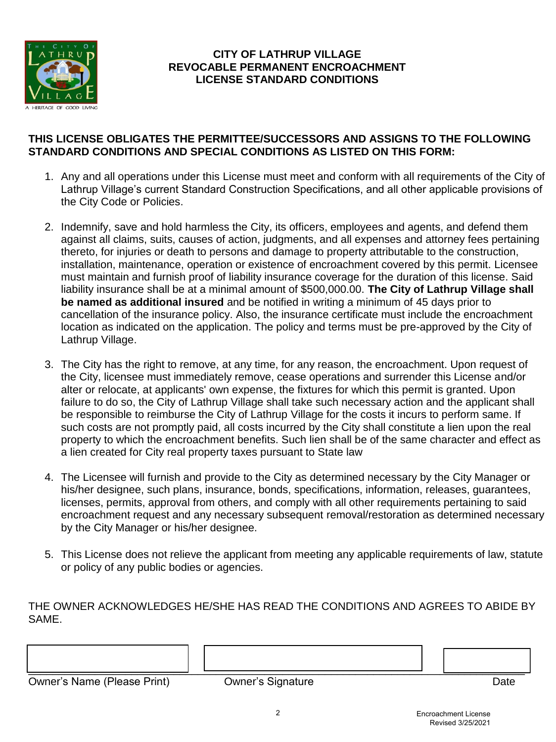

### **CITY OF LATHRUP VILLAGE REVOCABLE PERMANENT ENCROACHMENT LICENSE STANDARD CONDITIONS**

### **THIS LICENSE OBLIGATES THE PERMITTEE/SUCCESSORS AND ASSIGNS TO THE FOLLOWING STANDARD CONDITIONS AND SPECIAL CONDITIONS AS LISTED ON THIS FORM:**

- 1. Any and all operations under this License must meet and conform with all requirements of the City of Lathrup Village's current Standard Construction Specifications, and all other applicable provisions of the City Code or Policies.
- 2. Indemnify, save and hold harmless the City, its officers, employees and agents, and defend them against all claims, suits, causes of action, judgments, and all expenses and attorney fees pertaining thereto, for injuries or death to persons and damage to property attributable to the construction, installation, maintenance, operation or existence of encroachment covered by this permit. Licensee must maintain and furnish proof of liability insurance coverage for the duration of this license. Said liability insurance shall be at a minimal amount of \$500,000.00. **The City of Lathrup Village shall be named as additional insured** and be notified in writing a minimum of 45 days prior to cancellation of the insurance policy. Also, the insurance certificate must include the encroachment location as indicated on the application. The policy and terms must be pre-approved by the City of Lathrup Village.
- 3. The City has the right to remove, at any time, for any reason, the encroachment. Upon request of the City, licensee must immediately remove, cease operations and surrender this License and/or alter or relocate, at applicants' own expense, the fixtures for which this permit is granted. Upon failure to do so, the City of Lathrup Village shall take such necessary action and the applicant shall be responsible to reimburse the City of Lathrup Village for the costs it incurs to perform same. If such costs are not promptly paid, all costs incurred by the City shall constitute a lien upon the real property to which the encroachment benefits. Such lien shall be of the same character and effect as a lien created for City real property taxes pursuant to State law
- 4. The Licensee will furnish and provide to the City as determined necessary by the City Manager or his/her designee, such plans, insurance, bonds, specifications, information, releases, guarantees, licenses, permits, approval from others, and comply with all other requirements pertaining to said encroachment request and any necessary subsequent removal/restoration as determined necessary by the City Manager or his/her designee.
- 5. This License does not relieve the applicant from meeting any applicable requirements of law, statute or policy of any public bodies or agencies.

THE OWNER ACKNOWLEDGES HE/SHE HAS READ THE CONDITIONS AND AGREES TO ABIDE BY SAME.

\_\_\_\_\_\_\_\_\_\_\_\_\_\_\_\_\_\_\_\_\_\_\_\_\_\_\_\_\_\_\_\_\_\_\_\_\_\_\_\_\_\_\_\_\_\_\_\_\_\_\_\_\_\_\_\_\_\_\_\_\_\_\_\_\_\_\_\_\_\_\_\_\_\_\_\_\_\_\_\_\_\_ Owner's Name (Please Print) **Canadian Company Company** Owner's Signature **Date** Date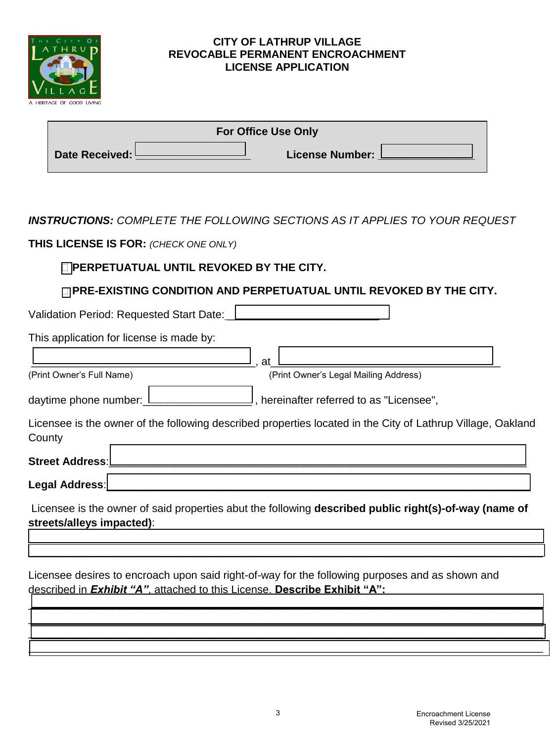

#### **CITY OF LATHRUP VILLAGE REVOCABLE PERMANENT ENCROACHMENT LICENSE APPLICATION**

| <b>For Office Use Only</b> |  |                        |  |  |
|----------------------------|--|------------------------|--|--|
| Date Received: I           |  | <b>License Number:</b> |  |  |

*INSTRUCTIONS: COMPLETE THE FOLLOWING SECTIONS AS IT APPLIES TO YOUR REQUEST* 

**THIS LICENSE IS FOR:** *(CHECK ONE ONLY)*

# **PERPETUATUAL UNTIL REVOKED BY THE CITY.**

**PRE-EXISTING CONDITION AND PERPETUATUAL UNTIL REVOKED BY THE CITY.** 

Validation Period: Requested Start Date:

This application for license is made by:

\_\_\_\_\_\_\_\_\_\_\_\_\_\_\_\_\_\_\_\_\_\_\_\_\_\_\_\_\_\_\_\_\_\_\_\_\_, at\_\_\_\_\_\_\_\_\_\_\_\_\_\_\_\_\_\_\_\_\_\_\_\_\_\_\_\_\_\_\_\_\_\_\_\_\_\_ (Print Owner's Full Name) (Print Owner's Legal Mailing Address)

daytime phone number: <u>Lesse resections</u>, hereinafter referred to as "Licensee",

Licensee is the owner of the following described properties located in the City of Lathrup Village, Oakland **County** 

Legal Address:

Street Address:

Licensee is the owner of said properties abut the following **described public right(s)-of-way (name of streets/alleys impacted)**:

 $\mathcal{L}_\text{max} = \frac{1}{2} \int_{-\infty}^{\infty} \frac{1}{2} \left( \frac{1}{2} \frac{1}{2} \frac{1}{2} \frac{1}{2} \frac{1}{2} \frac{1}{2} \frac{1}{2} \frac{1}{2} \frac{1}{2} \frac{1}{2} \frac{1}{2} \frac{1}{2} \frac{1}{2} \frac{1}{2} \frac{1}{2} \frac{1}{2} \frac{1}{2} \frac{1}{2} \frac{1}{2} \frac{1}{2} \frac{1}{2} \frac{1}{2} \frac{1}{2} \frac{1}{2} \frac{1}{2} \frac{1$  $\mathcal{L}_\text{max}$  and  $\mathcal{L}_\text{max}$  and  $\mathcal{L}_\text{max}$  and  $\mathcal{L}_\text{max}$  and  $\mathcal{L}_\text{max}$  and  $\mathcal{L}_\text{max}$  and  $\mathcal{L}_\text{max}$ 

\_\_\_\_\_\_\_\_\_\_\_\_\_\_\_\_\_\_\_\_\_\_\_\_\_\_\_\_\_\_\_\_\_\_\_\_\_\_\_\_\_\_\_\_\_\_\_\_\_\_\_\_\_\_\_\_\_\_\_\_\_\_\_\_\_\_\_\_\_\_\_\_\_\_\_\_\_\_\_\_\_\_\_\_\_  $\Box$  . The contract of the contract of the contract of the contract of the contract of the contract of the contract of the contract of the contract of the contract of the contract of the contract of the contract of the co \_\_\_\_\_\_\_\_\_\_\_\_\_\_\_\_\_\_\_\_\_\_\_\_\_\_\_\_\_\_\_\_\_\_\_\_\_\_\_\_\_\_\_\_\_\_\_\_\_\_\_\_\_\_\_\_\_\_\_\_\_\_\_\_\_\_\_\_\_\_\_\_\_\_\_\_\_\_\_\_\_\_\_\_\_ \_\_\_\_\_\_\_\_\_\_\_\_\_\_\_\_\_\_\_\_\_\_\_\_\_\_\_\_\_\_\_\_\_\_\_\_\_\_\_\_\_\_\_\_\_\_\_\_\_\_\_\_\_\_\_\_\_\_\_\_\_\_\_\_\_\_\_\_\_\_\_\_\_\_\_\_\_\_\_\_\_\_\_\_\_

Licensee desires to encroach upon said right-of-way for the following purposes and as shown and described in *Exhibit "A"*, attached to this License. **Describe Exhibit "A":**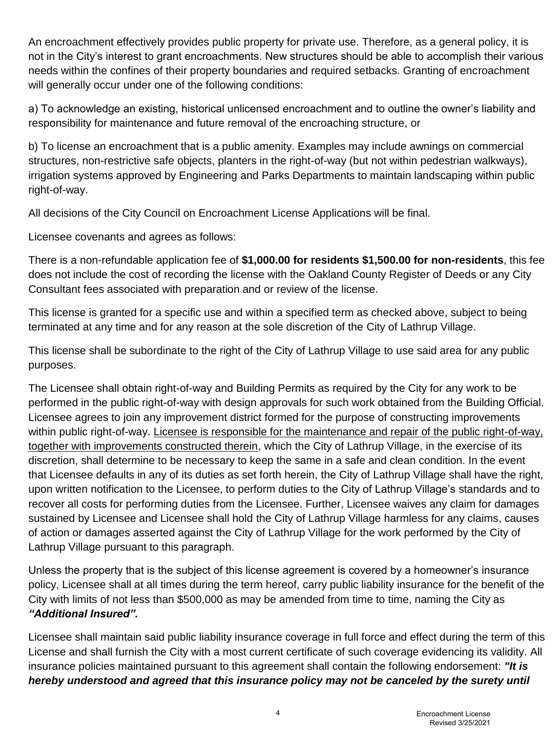An encroachment effectively provides public property for private use. Therefore, as a general policy, it is not in the City's interest to grant encroachments. New structures should be able to accomplish their various needs within the confines of their property boundaries and required setbacks. Granting of encroachment will generally occur under one of the following conditions:

a) To acknowledge an existing, historical unlicensed encroachment and to outline the owner's liability and responsibility for maintenance and future removal of the encroaching structure, or

b) To license an encroachment that is a public amenity. Examples may include awnings on commercial structures, non-restrictive safe objects, planters in the right-of-way (but not within pedestrian walkways), irrigation systems approved by Engineering and Parks Departments to maintain landscaping within public right-of-way.

All decisions of the City Council on Encroachment License Applications will be final.

Licensee covenants and agrees as follows:

There is a non-refundable application fee of **\$1,000.00 for residents \$1,500.00 for non-residents**, this fee does not include the cost of recording the license with the Oakland County Register of Deeds or any City Consultant fees associated with preparation and or review of the license.

This license is granted for a specific use and within a specified term as checked above, subject to being terminated at any time and for any reason at the sole discretion of the City of Lathrup Village.

This license shall be subordinate to the right of the City of Lathrup Village to use said area for any public purposes.

The Licensee shall obtain right-of-way and Building Permits as required by the City for any work to be performed in the public right-of-way with design approvals for such work obtained from the Building Official. Licensee agrees to join any improvement district formed for the purpose of constructing improvements within public right-of-way. Licensee is responsible for the maintenance and repair of the public right-of-way, together with improvements constructed therein, which the City of Lathrup Village, in the exercise of its discretion, shall determine to be necessary to keep the same in a safe and clean condition. In the event that Licensee defaults in any of its duties as set forth herein, the City of Lathrup Village shall have the right, upon written notification to the Licensee, to perform duties to the City of Lathrup Village's standards and to recover all costs for performing duties from the Licensee. Further, Licensee waives any claim for damages sustained by Licensee and Licensee shall hold the City of Lathrup Village harmless for any claims, causes of action or damages asserted against the City of Lathrup Village for the work performed by the City of Lathrup Village pursuant to this paragraph.

Unless the property that is the subject of this license agreement is covered by a homeowner's insurance policy, Licensee shall at all times during the term hereof, carry public liability insurance for the benefit of the City with limits of not less than \$500,000 as may be amended from time to time, naming the City as *"Additional Insured".* 

Licensee shall maintain said public liability insurance coverage in full force and effect during the term of this License and shall furnish the City with a most current certificate of such coverage evidencing its validity. All insurance policies maintained pursuant to this agreement shall contain the following endorsement: *"It is hereby understood and agreed that this insurance policy may not be canceled by the surety until*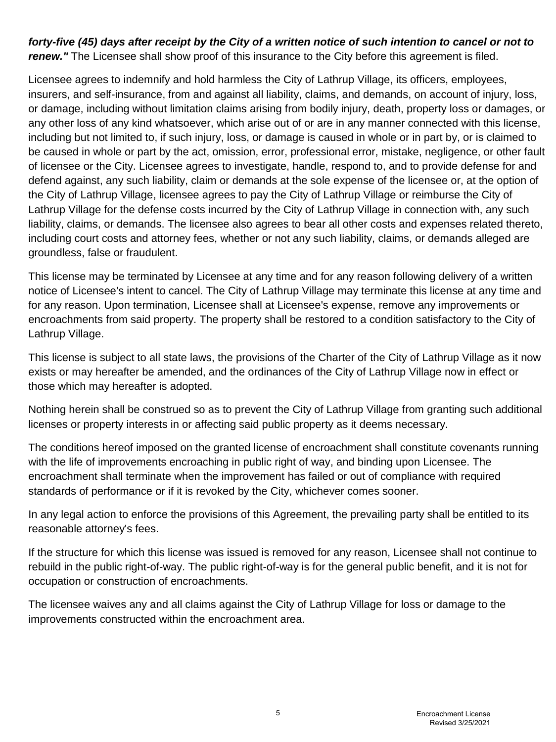# *forty-five (45) days after receipt by the City of a written notice of such intention to cancel or not to*  **renew.**" The Licensee shall show proof of this insurance to the City before this agreement is filed.

Licensee agrees to indemnify and hold harmless the City of Lathrup Village, its officers, employees, insurers, and self-insurance, from and against all liability, claims, and demands, on account of injury, loss, or damage, including without limitation claims arising from bodily injury, death, property loss or damages, or any other loss of any kind whatsoever, which arise out of or are in any manner connected with this license, including but not limited to, if such injury, loss, or damage is caused in whole or in part by, or is claimed to be caused in whole or part by the act, omission, error, professional error, mistake, negligence, or other fault of licensee or the City. Licensee agrees to investigate, handle, respond to, and to provide defense for and defend against, any such liability, claim or demands at the sole expense of the licensee or, at the option of the City of Lathrup Village, licensee agrees to pay the City of Lathrup Village or reimburse the City of Lathrup Village for the defense costs incurred by the City of Lathrup Village in connection with, any such liability, claims, or demands. The licensee also agrees to bear all other costs and expenses related thereto, including court costs and attorney fees, whether or not any such liability, claims, or demands alleged are groundless, false or fraudulent.

This license may be terminated by Licensee at any time and for any reason following delivery of a written notice of Licensee's intent to cancel. The City of Lathrup Village may terminate this license at any time and for any reason. Upon termination, Licensee shall at Licensee's expense, remove any improvements or encroachments from said property. The property shall be restored to a condition satisfactory to the City of Lathrup Village.

This license is subject to all state laws, the provisions of the Charter of the City of Lathrup Village as it now exists or may hereafter be amended, and the ordinances of the City of Lathrup Village now in effect or those which may hereafter is adopted.

Nothing herein shall be construed so as to prevent the City of Lathrup Village from granting such additional licenses or property interests in or affecting said public property as it deems necessary.

The conditions hereof imposed on the granted license of encroachment shall constitute covenants running with the life of improvements encroaching in public right of way, and binding upon Licensee. The encroachment shall terminate when the improvement has failed or out of compliance with required standards of performance or if it is revoked by the City, whichever comes sooner.

In any legal action to enforce the provisions of this Agreement, the prevailing party shall be entitled to its reasonable attorney's fees.

If the structure for which this license was issued is removed for any reason, Licensee shall not continue to rebuild in the public right-of-way. The public right-of-way is for the general public benefit, and it is not for occupation or construction of encroachments.

The licensee waives any and all claims against the City of Lathrup Village for loss or damage to the improvements constructed within the encroachment area.